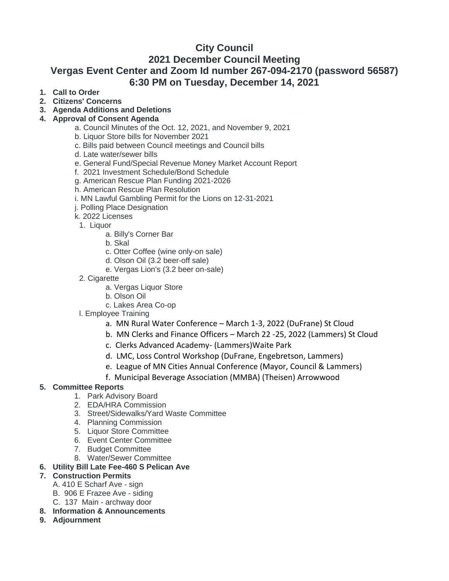# **City Council 2021 December Council Meeting Vergas Event Center and Zoom Id number 267-094-2170 (password 56587) 6:30 PM on Tuesday, December 14, 2021**

- **1. Call to Order**
- **2. Citizens' Concerns**
- **3. Agenda Additions and Deletions**

## **4. Approval of Consent Agenda**

- a. Council Minutes of the Oct. 12, 2021, and November 9, 2021
- b. Liquor Store bills for November 2021
- c. Bills paid between Council meetings and Council bills
- d. Late water/sewer bills
- e. General Fund/Special Revenue Money Market Account Report
- f. 2021 Investment Schedule/Bond Schedule
- g. American Rescue Plan Funding 2021-2026
- h. American Rescue Plan Resolution
- i. MN Lawful Gambling Permit for the Lions on 12-31-2021
- j. Polling Place Designation
- k. 2022 Licenses
- 1. Liquor
	- a. Billy's Corner Bar
	- b. Skal
	- c. Otter Coffee (wine only-on sale)
	- d. Olson Oil (3.2 beer-off sale)
	- e. Vergas Lion's (3.2 beer on-sale)
- 2. Cigarette
	- a. Vergas Liquor Store
	- b. Olson Oil
	- c. Lakes Area Co-op
- l. Employee Training
	- a. MN Rural Water Conference March 1-3, 2022 (DuFrane) St Cloud
	- b. MN Clerks and Finance Officers March 22 -25, 2022 (Lammers) St Cloud
	- c. Clerks Advanced Academy- (Lammers)Waite Park
	- d. LMC, Loss Control Workshop (DuFrane, Engebretson, Lammers)
	- e. League of MN Cities Annual Conference (Mayor, Council & Lammers)
	- f. Municipal Beverage Association (MMBA) (Theisen) Arrowwood

# **5. Committee Reports**

- 1. Park Advisory Board
- 2. EDA/HRA Commission
- 3. Street/Sidewalks/Yard Waste Committee
- 4. Planning Commission
- 5. Liquor Store Committee
- 6. Event Center Committee
- 7. Budget Committee
- 8. Water/Sewer Committee
- **6. Utility Bill Late Fee-460 S Pelican Ave**

### **7. Construction Permits**

- A. 410 E Scharf Ave sign
- B. 906 E Frazee Ave siding
- C. 137 Main archway door
- **8. Information & Announcements**
- **9. Adjournment**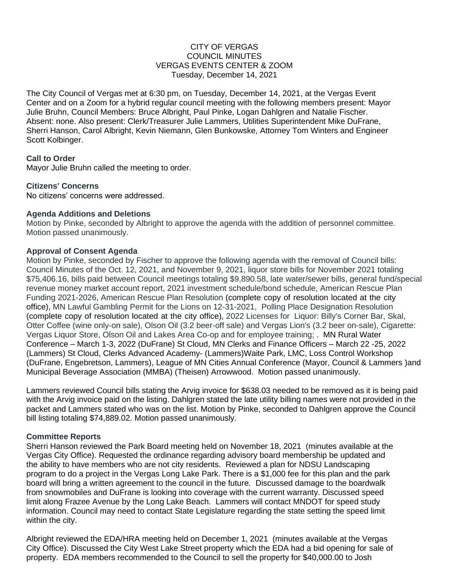## CITY OF VERGAS COUNCIL MINUTES VERGAS EVENTS CENTER & ZOOM Tuesday, December 14, 2021

The City Council of Vergas met at 6:30 pm, on Tuesday, December 14, 2021, at the Vergas Event Center and on a Zoom for a hybrid regular council meeting with the following members present: Mayor Julie Bruhn, Council Members: Bruce Albright, Paul Pinke, Logan Dahlgren and Natalie Fischer. Absent: none. Also present: Clerk/Treasurer Julie Lammers, Utilities Superintendent Mike DuFrane, Sherri Hanson, Carol Albright, Kevin Niemann, Glen Bunkowske, Attorney Tom Winters and Engineer Scott Kolbinger.

## **Call to Order**

Mayor Julie Bruhn called the meeting to order.

## **Citizens' Concerns**

No citizens' concerns were addressed.

## **Agenda Additions and Deletions**

Motion by Pinke, seconded by Albright to approve the agenda with the addition of personnel committee. Motion passed unanimously.

### **Approval of Consent Agenda**

Motion by Pinke, seconded by Fischer to approve the following agenda with the removal of Council bills: Council Minutes of the Oct. 12, 2021, and November 9, 2021, liquor store bills for November 2021 totaling \$75,406.16, bills paid between Council meetings totaling \$9,890.58, late water/sewer bills, general fund/special revenue money market account report, 2021 investment schedule/bond schedule, American Rescue Plan Funding 2021-2026, American Rescue Plan Resolution (complete copy of resolution located at the city office), MN Lawful Gambling Permit for the Lions on 12-31-2021, Polling Place Designation Resolution (complete copy of resolution located at the city office), 2022 Licenses for Liquor: Billy's Corner Bar, Skal, Otter Coffee (wine only-on sale), Olson Oil (3.2 beer-off sale) and Vergas Lion's (3.2 beer on-sale), Cigarette: Vergas Liquor Store, Olson Oil and Lakes Area Co-op and for employee training; . MN Rural Water Conference – March 1-3, 2022 (DuFrane) St Cloud, MN Clerks and Finance Officers – March 22 -25, 2022 (Lammers) St Cloud, Clerks Advanced Academy- (Lammers)Waite Park, LMC, Loss Control Workshop (DuFrane, Engebretson, Lammers), League of MN Cities Annual Conference (Mayor, Council & Lammers )and Municipal Beverage Association (MMBA) (Theisen) Arrowwood. Motion passed unanimously.

Lammers reviewed Council bills stating the Arvig invoice for \$638.03 needed to be removed as it is being paid with the Arvig invoice paid on the listing. Dahlgren stated the late utility billing names were not provided in the packet and Lammers stated who was on the list. Motion by Pinke, seconded to Dahlgren approve the Council bill listing totaling \$74,889.02. Motion passed unanimously.

### **Committee Reports**

Sherri Hanson reviewed the Park Board meeting held on November 18, 2021 (minutes available at the Vergas City Office). Requested the ordinance regarding advisory board membership be updated and the ability to have members who are not city residents. Reviewed a plan for NDSU Landscaping program to do a project in the Vergas Long Lake Park. There is a \$1,000 fee for this plan and the park board will bring a written agreement to the council in the future. Discussed damage to the boardwalk from snowmobiles and DuFrane is looking into coverage with the current warranty. Discussed speed limit along Frazee Avenue by the Long Lake Beach. Lammers will contact MNDOT for speed study information. Council may need to contact State Legislature regarding the state setting the speed limit within the city.

Albright reviewed the EDA/HRA meeting held on December 1, 2021 (minutes available at the Vergas City Office). Discussed the City West Lake Street property which the EDA had a bid opening for sale of property. EDA members recommended to the Council to sell the property for \$40,000.00 to Josh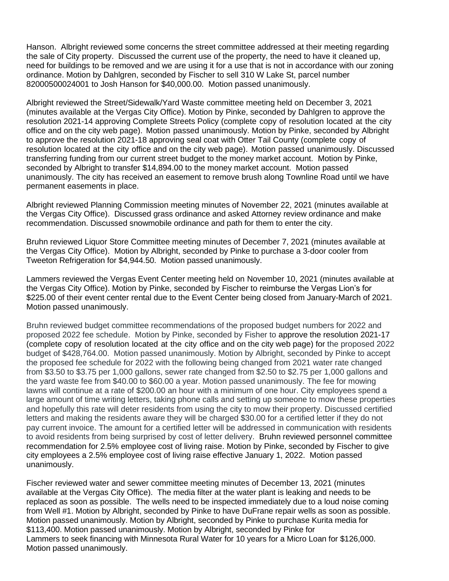Hanson. Albright reviewed some concerns the street committee addressed at their meeting regarding the sale of City property. Discussed the current use of the property, the need to have it cleaned up, need for buildings to be removed and we are using it for a use that is not in accordance with our zoning ordinance. Motion by Dahlgren, seconded by Fischer to sell 310 W Lake St, parcel number 82000500024001 to Josh Hanson for \$40,000.00. Motion passed unanimously.

Albright reviewed the Street/Sidewalk/Yard Waste committee meeting held on December 3, 2021 (minutes available at the Vergas City Office). Motion by Pinke, seconded by Dahlgren to approve the resolution 2021-14 approving Complete Streets Policy (complete copy of resolution located at the city office and on the city web page). Motion passed unanimously. Motion by Pinke, seconded by Albright to approve the resolution 2021-18 approving seal coat with Otter Tail County (complete copy of resolution located at the city office and on the city web page). Motion passed unanimously. Discussed transferring funding from our current street budget to the money market account. Motion by Pinke, seconded by Albright to transfer \$14,894.00 to the money market account. Motion passed unanimously. The city has received an easement to remove brush along Townline Road until we have permanent easements in place.

Albright reviewed Planning Commission meeting minutes of November 22, 2021 (minutes available at the Vergas City Office). Discussed grass ordinance and asked Attorney review ordinance and make recommendation. Discussed snowmobile ordinance and path for them to enter the city.

Bruhn reviewed Liquor Store Committee meeting minutes of December 7, 2021 (minutes available at the Vergas City Office). Motion by Albright, seconded by Pinke to purchase a 3-door cooler from Tweeton Refrigeration for \$4,944.50. Motion passed unanimously.

Lammers reviewed the Vergas Event Center meeting held on November 10, 2021 (minutes available at the Vergas City Office). Motion by Pinke, seconded by Fischer to reimburse the Vergas Lion's for \$225.00 of their event center rental due to the Event Center being closed from January-March of 2021. Motion passed unanimously.

Bruhn reviewed budget committee recommendations of the proposed budget numbers for 2022 and proposed 2022 fee schedule. Motion by Pinke, seconded by Fisher to approve the resolution 2021-17 (complete copy of resolution located at the city office and on the city web page) for the proposed 2022 budget of \$428,764.00. Motion passed unanimously. Motion by Albright, seconded by Pinke to accept the proposed fee schedule for 2022 with the following being changed from 2021 water rate changed from \$3.50 to \$3.75 per 1,000 gallons, sewer rate changed from \$2.50 to \$2.75 per 1,000 gallons and the yard waste fee from \$40.00 to \$60.00 a year. Motion passed unanimously. The fee for mowing lawns will continue at a rate of \$200.00 an hour with a minimum of one hour. City employees spend a large amount of time writing letters, taking phone calls and setting up someone to mow these properties and hopefully this rate will deter residents from using the city to mow their property. Discussed certified letters and making the residents aware they will be charged \$30.00 for a certified letter if they do not pay current invoice. The amount for a certified letter will be addressed in communication with residents to avoid residents from being surprised by cost of letter delivery. Bruhn reviewed personnel committee recommendation for 2.5% employee cost of living raise. Motion by Pinke, seconded by Fischer to give city employees a 2.5% employee cost of living raise effective January 1, 2022. Motion passed unanimously.

Fischer reviewed water and sewer committee meeting minutes of December 13, 2021 (minutes available at the Vergas City Office). The media filter at the water plant is leaking and needs to be replaced as soon as possible. The wells need to be inspected immediately due to a loud noise coming from Well #1. Motion by Albright, seconded by Pinke to have DuFrane repair wells as soon as possible. Motion passed unanimously. Motion by Albright, seconded by Pinke to purchase Kurita media for \$113,400. Motion passed unanimously. Motion by Albright, seconded by Pinke for Lammers to seek financing with Minnesota Rural Water for 10 years for a Micro Loan for \$126,000. Motion passed unanimously.